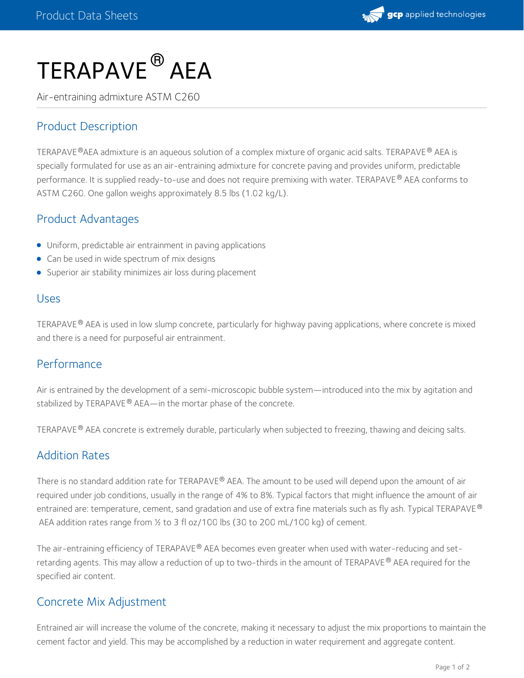

# $\sf TERAPAVE^{\circledR}$  AEA

Air-entraining admixture ASTM C260

## Product Description

<code>TERAPAVE®</code>AEA admixture is an aqueous solution of a complex mixture of organic acid salts. <code>TERAPAVE®</code> AEA is specially formulated for use as an air-entraining admixture for concrete paving and provides uniform, predictable performance. It is supplied ready-to-use and does not require premixing with water. TERAPAVE® AEA conforms to ASTM C260. One gallon weighs approximately 8.5 lbs (1.02 kg/L).

#### Product Advantages

- Uniform, predictable air entrainment in paving applications
- Can be used in wide spectrum of mix designs
- **Superior air stability minimizes air loss during placement**

#### Uses

TERAPAVE  $^\circ$  AEA is used in low slump concrete, particularly for highway paving applications, where concrete is mixed and there is a need for purposeful air entrainment.

#### Performance

Air is entrained by the development of a semi-microscopic bubble system—introduced into the mix by agitation and stabilized by TERAPAVE  $^\circledR$  AEA—in the mortar phase of the concrete.

TERAPAVE® AEA concrete is extremely durable, particularly when subjected to freezing, thawing and deicing salts.

#### Addition Rates

There is no standard addition rate for TERAPAVE® AEA. The amount to be used will depend upon the amount of air required under job conditions, usually in the range of 4% to 8%. Typical factors that might influence the amount of air entrained are: temperature, cement, sand gradation and use of extra fine materials such as fly ash. Typical TERAPAVE ® AEA addition rates range from ½ to 3 fl oz/100 lbs (30 to 200 mL/100 kg) of cement.

The air-entraining efficiency of TERAPAVE® AEA becomes even greater when used with water-reducing and setretarding agents. This may allow a reduction of up to two-thirds in the amount of TERAPAVE® AEA required for the specified air content.

#### Concrete Mix Adjustment

Entrained air will increase the volume of the concrete, making it necessary to adjust the mix proportions to maintain the cement factor and yield. This may be accomplished by a reduction in water requirement and aggregate content.